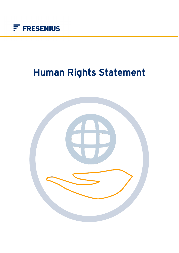

# Human Rights Statement

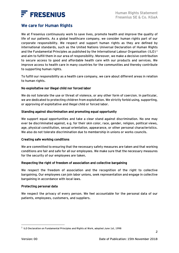

# We care for Human Rights

We at Fresenius continuously work to save lives, promote health and improve the quality of life of our patients. As a global healthcare company, we consider human rights part of our corporate responsibility. We respect and support human rights as they are defined by international standards, such as the United Nations Universal Declaration of Human Rights and the Fundamental Principles as published by the International Labour Organisation (ILO)<sup>1</sup> and aim to fulfill them in our area of responsibility. Moreover, we make a decisive contribution to secure access to good and affordable health care with our products and services. We improve access to health care in many countries for the communities and thereby contribute to supporting human rights.

To fulfill our responsibility as a health care company, we care about different areas in relation to human rights.

### No exploitative nor illegal child nor forced labor

We do not tolerate the use or threat of violence, or any other form of coercion. In particular, we are dedicated to protecting children from exploitation. We strictly forbid using, supporting, or approving of exploitative and illegal child or forced labor.

## Standing against discrimination and promoting equal opportunity

We support equal opportunities and take a clear stand against discrimination. No one may ever be discriminated against, e.g. for their skin color, race, gender, religion, political views, age, physical constitution, sexual orientation, appearance, or other personal characteristics. We also do not tolerate discrimination due to membership in unions or works councils.

### Creating safe working conditions

We are committed to ensuring that the necessary safety measures are taken and that working conditions are fair and safe for all our employees. We make sure that the necessary measures for the security of our employees are taken.

### Respecting the right of freedom of association and collective bargaining

We respect the freedom of association and the recognition of the right to collective bargaining. Our employees can join labor unions, seek representation and engage in collective bargaining in accordance with local laws.

### Protecting personal data

We respect the privacy of every person. We feel accountable for the personal data of our patients, employees, customers, and suppliers.

2

 $^{\rm 1}$  ILO Declaration on Fundamental Principles and Rights at Work, adopted June 1st, 1998